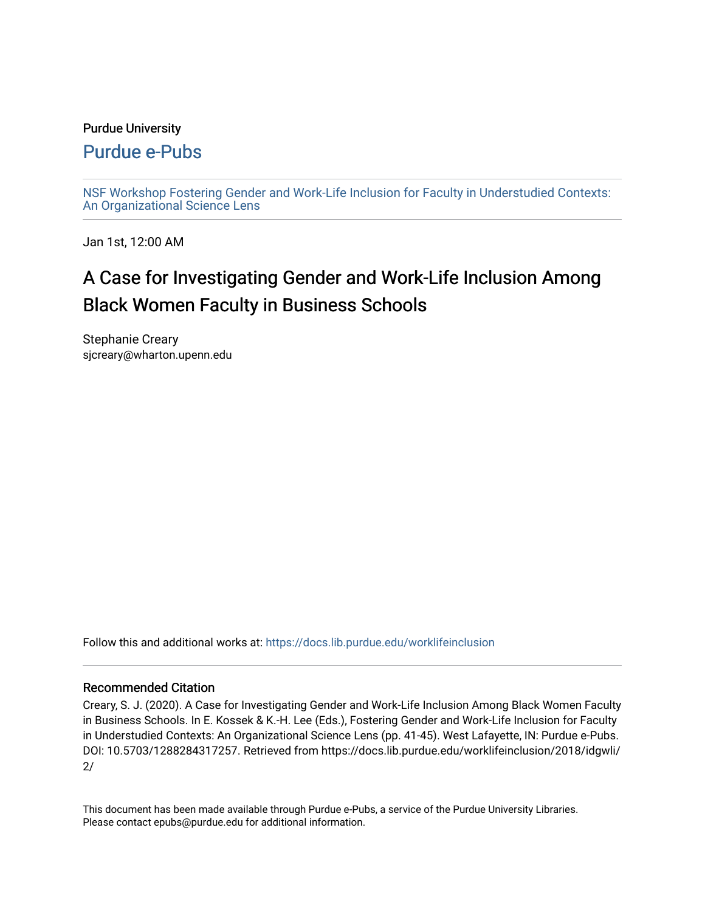### Purdue University

## [Purdue e-Pubs](https://docs.lib.purdue.edu/)

[NSF Workshop Fostering Gender and Work-Life Inclusion for Faculty in Understudied Contexts:](https://docs.lib.purdue.edu/worklifeinclusion)  [An Organizational Science Lens](https://docs.lib.purdue.edu/worklifeinclusion)

Jan 1st, 12:00 AM

# A Case for Investigating Gender and Work-Life Inclusion Among Black Women Faculty in Business Schools

Stephanie Creary sjcreary@wharton.upenn.edu

Follow this and additional works at: [https://docs.lib.purdue.edu/worklifeinclusion](https://docs.lib.purdue.edu/worklifeinclusion?utm_source=docs.lib.purdue.edu%2Fworklifeinclusion%2F2018%2Fidgwli%2F2&utm_medium=PDF&utm_campaign=PDFCoverPages) 

### Recommended Citation

Creary, S. J. (2020). A Case for Investigating Gender and Work-Life Inclusion Among Black Women Faculty in Business Schools. In E. Kossek & K.-H. Lee (Eds.), Fostering Gender and Work-Life Inclusion for Faculty in Understudied Contexts: An Organizational Science Lens (pp. 41-45). West Lafayette, IN: Purdue e-Pubs. DOI: 10.5703/1288284317257. Retrieved from https://docs.lib.purdue.edu/worklifeinclusion/2018/idgwli/ 2/

This document has been made available through Purdue e-Pubs, a service of the Purdue University Libraries. Please contact epubs@purdue.edu for additional information.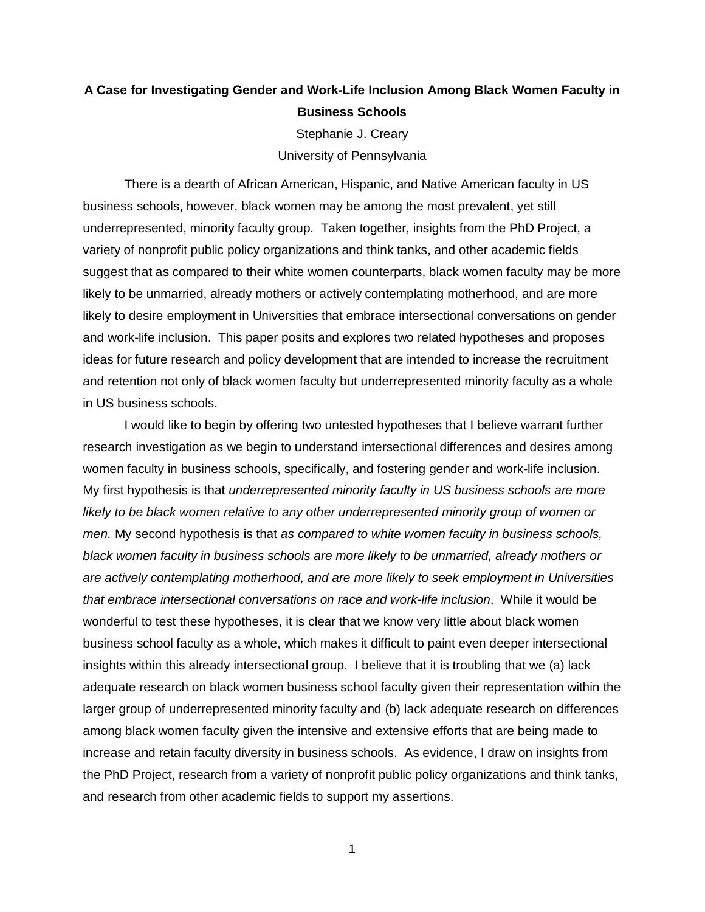## **A Case for Investigating Gender and Work-Life Inclusion Among Black Women Faculty in Business Schools**

Stephanie J. Creary University of Pennsylvania

 business schools, however, black women may be among the most prevalent, yet still underrepresented, minority faculty group. Taken together, insights from the PhD Project, a variety of nonprofit public policy organizations and think tanks, and other academic fields likely to be unmarried, already mothers or actively contemplating motherhood, and are more likely to desire employment in Universities that embrace intersectional conversations on gender ideas for future research and policy development that are intended to increase the recruitment and retention not only of black women faculty but underrepresented minority faculty as a whole There is a dearth of African American, Hispanic, and Native American faculty in US suggest that as compared to their white women counterparts, black women faculty may be more and work-life inclusion. This paper posits and explores two related hypotheses and proposes in US business schools.

women faculty in business schools, specifically, and fostering gender and work-life inclusion. likely to be black women relative to any other underrepresented minority group of women or *men.* My second hypothesis is that *as compared to white women faculty in business schools, that embrace intersectional conversations on race and work-life inclusion*. While it would be wonderful to test these hypotheses, it is clear that we know very little about black women business school faculty as a whole, which makes it difficult to paint even deeper intersectional larger group of underrepresented minority faculty and (b) lack adequate research on differences increase and retain faculty diversity in business schools. As evidence, I draw on insights from the PhD Project, research from a variety of nonprofit public policy organizations and think tanks, I would like to begin by offering two untested hypotheses that I believe warrant further research investigation as we begin to understand intersectional differences and desires among Wy first hypothesis is that *underrepresented minority faculty in US business schools are more black women faculty in business schools are more likely to be unmarried, already mothers or are actively contemplating motherhood, and are more likely to seek employment in Universities*  insights within this already intersectional group. I believe that it is troubling that we (a) lack adequate research on black women business school faculty given their representation within the among black women faculty given the intensive and extensive efforts that are being made to and research from other academic fields to support my assertions.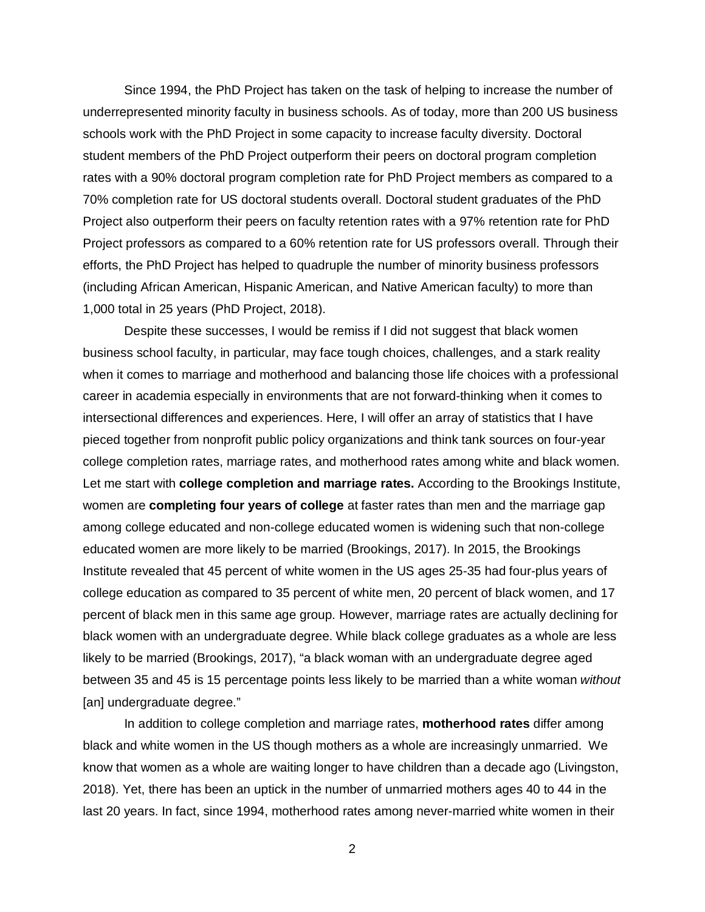Since 1994, the PhD Project has taken on the task of helping to increase the number of underrepresented minority faculty in business schools. As of today, more than 200 US business student members of the PhD Project outperform their peers on doctoral program completion 70% completion rate for US doctoral students overall. Doctoral student graduates of the PhD Project also outperform their peers on faculty retention rates with a 97% retention rate for PhD efforts, the PhD Project has helped to quadruple the number of minority business professors (including African American, Hispanic American, and Native American faculty) to more than 1,000 total in 25 years (PhD Project, 2018). schools work with the PhD Project in some capacity to increase faculty diversity. Doctoral rates with a 90% doctoral program completion rate for PhD Project members as compared to a Project professors as compared to a 60% retention rate for US professors overall. Through their

 intersectional differences and experiences. Here, I will offer an array of statistics that I have pieced together from nonprofit public policy organizations and think tank sources on four-year Let me start with **college completion and marriage rates.** According to the Brookings Institute, percent of black men in this same age group. However, marriage rates are actually declining for Despite these successes, I would be remiss if I did not suggest that black women business school faculty, in particular, may face tough choices, challenges, and a stark reality when it comes to marriage and motherhood and balancing those life choices with a professional career in academia especially in environments that are not forward-thinking when it comes to college completion rates, marriage rates, and motherhood rates among white and black women. women are **completing four years of college** at faster rates than men and the marriage gap among college educated and non-college educated women is widening such that non-college educated women are more likely to be married (Brookings, 2017). In 2015, the Brookings Institute revealed that 45 percent of white women in the US ages 25-35 had four-plus years of college education as compared to 35 percent of white men, 20 percent of black women, and 17 black women with an undergraduate degree. While black college graduates as a whole are less likely to be married (Brookings, 2017), "a black woman with an undergraduate degree aged between 35 and 45 is 15 percentage points less likely to be married than a white woman *without*  [an] undergraduate degree."

 black and white women in the US though mothers as a whole are increasingly unmarried. We In addition to college completion and marriage rates, **motherhood rates** differ among know that women as a whole are waiting longer to have children than a decade ago (Livingston, 2018). Yet, there has been an uptick in the number of unmarried mothers ages 40 to 44 in the last 20 years. In fact, since 1994, motherhood rates among never-married white women in their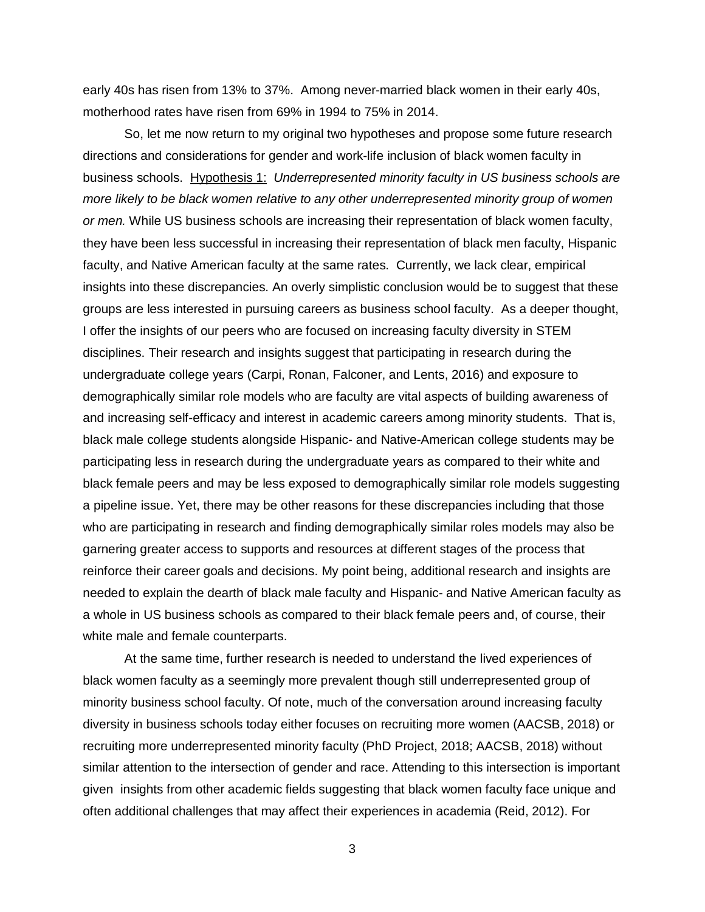early 40s has risen from 13% to 37%. Among never-married black women in their early 40s, motherhood rates have risen from 69% in 1994 to 75% in 2014.

 directions and considerations for gender and work-life inclusion of black women faculty in business schools. Hypothesis 1: *Underrepresented minority faculty in US business schools are or men.* While US business schools are increasing their representation of black women faculty, they have been less successful in increasing their representation of black men faculty, Hispanic faculty, and Native American faculty at the same rates. Currently, we lack clear, empirical groups are less interested in pursuing careers as business school faculty. As a deeper thought, disciplines. Their research and insights suggest that participating in research during the black female peers and may be less exposed to demographically similar role models suggesting garnering greater access to supports and resources at different stages of the process that reinforce their career goals and decisions. My point being, additional research and insights are needed to explain the dearth of black male faculty and Hispanic- and Native American faculty as So, let me now return to my original two hypotheses and propose some future research *more likely to be black women relative to any other underrepresented minority group of women*  insights into these discrepancies. An overly simplistic conclusion would be to suggest that these I offer the insights of our peers who are focused on increasing faculty diversity in STEM undergraduate college years (Carpi, Ronan, Falconer, and Lents, 2016) and exposure to demographically similar role models who are faculty are vital aspects of building awareness of and increasing self-efficacy and interest in academic careers among minority students. That is, black male college students alongside Hispanic- and Native-American college students may be participating less in research during the undergraduate years as compared to their white and a pipeline issue. Yet, there may be other reasons for these discrepancies including that those who are participating in research and finding demographically similar roles models may also be a whole in US business schools as compared to their black female peers and, of course, their white male and female counterparts.

 minority business school faculty. Of note, much of the conversation around increasing faculty diversity in business schools today either focuses on recruiting more women (AACSB, 2018) or recruiting more underrepresented minority faculty (PhD Project, 2018; AACSB, 2018) without given insights from other academic fields suggesting that black women faculty face unique and often additional challenges that may affect their experiences in academia (Reid, 2012). For At the same time, further research is needed to understand the lived experiences of black women faculty as a seemingly more prevalent though still underrepresented group of similar attention to the intersection of gender and race. Attending to this intersection is important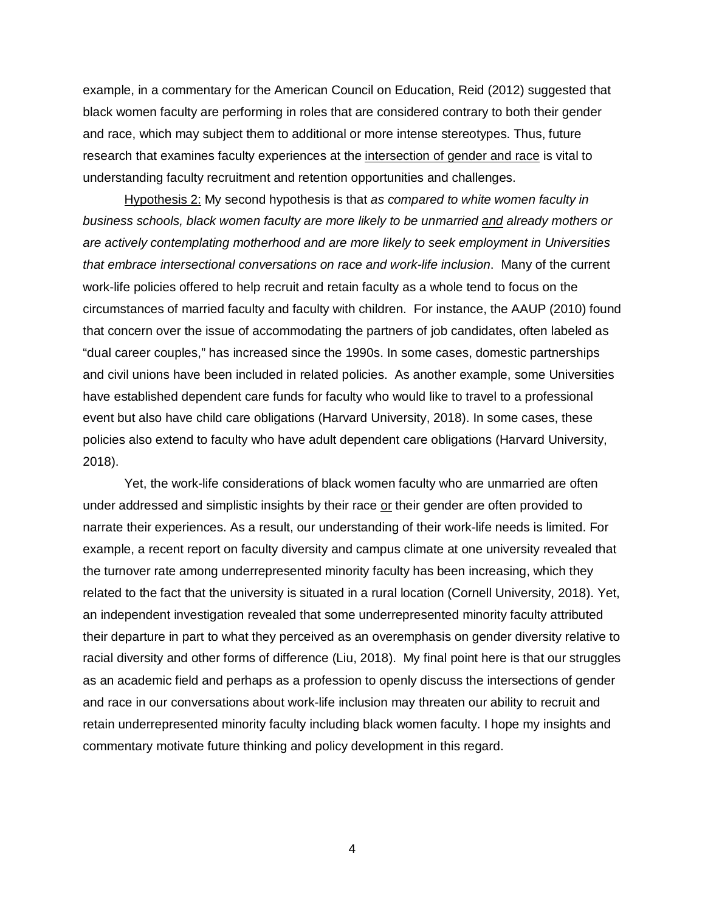example, in a commentary for the American Council on Education, Reid (2012) suggested that black women faculty are performing in roles that are considered contrary to both their gender and race, which may subject them to additional or more intense stereotypes. Thus, future research that examines faculty experiences at the intersection of gender and race is vital to understanding faculty recruitment and retention opportunities and challenges.

 *that embrace intersectional conversations on race and work-life inclusion*. Many of the current and civil unions have been included in related policies. As another example, some Universities have established dependent care funds for faculty who would like to travel to a professional Hypothesis 2: My second hypothesis is that *as compared to white women faculty in business schools, black women faculty are more likely to be unmarried and already mothers or are actively contemplating motherhood and are more likely to seek employment in Universities*  work-life policies offered to help recruit and retain faculty as a whole tend to focus on the circumstances of married faculty and faculty with children. For instance, the AAUP (2010) found that concern over the issue of accommodating the partners of job candidates, often labeled as "dual career couples," has increased since the 1990s. In some cases, domestic partnerships event but also have child care obligations (Harvard University, 2018). In some cases, these policies also extend to faculty who have adult dependent care obligations (Harvard University, 2018).

 the turnover rate among underrepresented minority faculty has been increasing, which they racial diversity and other forms of difference (Liu, 2018). My final point here is that our struggles as an academic field and perhaps as a profession to openly discuss the intersections of gender Yet, the work-life considerations of black women faculty who are unmarried are often under addressed and simplistic insights by their race or their gender are often provided to narrate their experiences. As a result, our understanding of their work-life needs is limited. For example, a recent report on faculty diversity and campus climate at one university revealed that related to the fact that the university is situated in a rural location (Cornell University, 2018). Yet, an independent investigation revealed that some underrepresented minority faculty attributed their departure in part to what they perceived as an overemphasis on gender diversity relative to and race in our conversations about work-life inclusion may threaten our ability to recruit and retain underrepresented minority faculty including black women faculty. I hope my insights and commentary motivate future thinking and policy development in this regard.